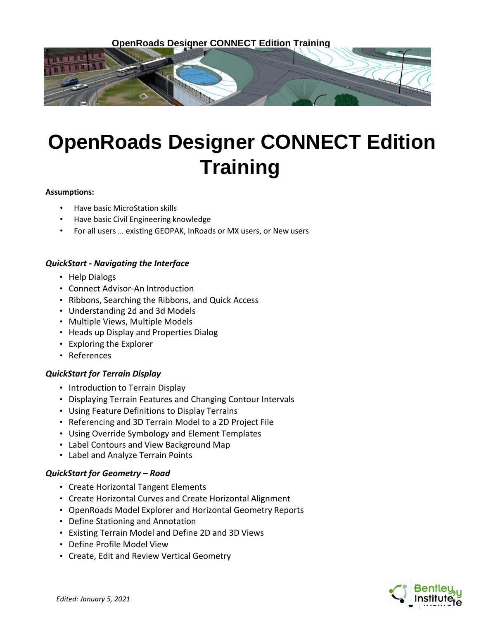**OpenRoads Designer CONNECT Edition Training**



#### **Assumptions:**

- Have basic MicroStation skills
- Have basic Civil Engineering knowledge
- For all users … existing GEOPAK, InRoads or MX users, or New users

## *QuickStart - Navigating the Interface*

- Help Dialogs
- Connect Advisor-An Introduction
- Ribbons, Searching the Ribbons, and Quick Access
- Understanding 2d and 3d Models
- Multiple Views, Multiple Models
- Heads up Display and Properties Dialog
- Exploring the Explorer
- References

## *QuickStart for Terrain Display*

- Introduction to Terrain Display
- Displaying Terrain Features and Changing Contour Intervals
- Using Feature Definitions to Display Terrains
- Referencing and 3D Terrain Model to a 2D Project File
- Using Override Symbology and Element Templates
- Label Contours and View Background Map
- Label and Analyze Terrain Points

## *QuickStart for Geometry – Road*

- Create Horizontal Tangent Elements
- Create Horizontal Curves and Create Horizontal Alignment
- OpenRoads Model Explorer and Horizontal Geometry Reports
- Define Stationing and Annotation
- Existing Terrain Model and Define 2D and 3D Views
- Define Profile Model View
- Create, Edit and Review Vertical Geometry

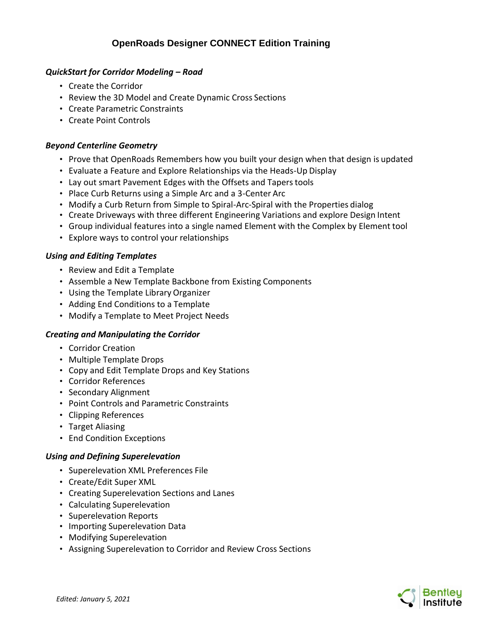# *QuickStart for Corridor Modeling – Road*

- Create the Corridor
- Review the 3D Model and Create Dynamic Cross Sections
- Create Parametric Constraints
- Create Point Controls

### *Beyond Centerline Geometry*

- Prove that OpenRoads Remembers how you built your design when that design is updated
- Evaluate a Feature and Explore Relationships via the Heads-Up Display
- Lay out smart Pavement Edges with the Offsets and Taperstools
- Place Curb Returns using a Simple Arc and a 3-Center Arc
- Modify a Curb Return from Simple to Spiral-Arc-Spiral with the Properties dialog
- Create Driveways with three different Engineering Variations and explore Design Intent
- Group individual features into a single named Element with the Complex by Element tool
- Explore ways to control your relationships

#### *Using and Editing Templates*

- Review and Edit a Template
- Assemble a New Template Backbone from Existing Components
- Using the Template Library Organizer
- Adding End Conditions to a Template
- Modify a Template to Meet Project Needs

#### *Creating and Manipulating the Corridor*

- Corridor Creation
- Multiple Template Drops
- Copy and Edit Template Drops and Key Stations
- Corridor References
- Secondary Alignment
- Point Controls and Parametric Constraints
- Clipping References
- Target Aliasing
- End Condition Exceptions

#### *Using and Defining Superelevation*

- Superelevation XML Preferences File
- Create/Edit Super XML
- Creating Superelevation Sections and Lanes
- Calculating Superelevation
- Superelevation Reports
- Importing Superelevation Data
- Modifying Superelevation
- Assigning Superelevation to Corridor and Review Cross Sections

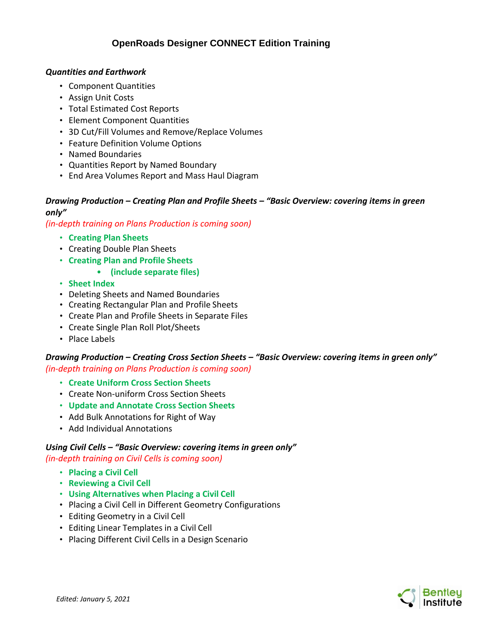# *Quantities and Earthwork*

- Component Quantities
- Assign Unit Costs
- Total Estimated Cost Reports
- Element Component Quantities
- 3D Cut/Fill Volumes and Remove/Replace Volumes
- Feature Definition Volume Options
- Named Boundaries
- Quantities Report by Named Boundary
- End Area Volumes Report and Mass Haul Diagram

# *Drawing Production – Creating Plan and Profile Sheets – "Basic Overview: covering items in green only"*

*(in-depth training on Plans Production is coming soon)*

- **Creating Plan Sheets**
- Creating Double Plan Sheets
- **Creating Plan and Profile Sheets**
	- **(include separate files)**
- **Sheet Index**
- Deleting Sheets and Named Boundaries
- Creating Rectangular Plan and Profile Sheets
- Create Plan and Profile Sheets in Separate Files
- Create Single Plan Roll Plot/Sheets
- Place Labels

# *Drawing Production – Creating Cross Section Sheets – "Basic Overview: covering items in green only" (in-depth training on Plans Production is coming soon)*

- **Create Uniform Cross Section Sheets**
- Create Non-uniform Cross Section Sheets
- **Update and Annotate Cross Section Sheets**
- Add Bulk Annotations for Right of Way
- Add Individual Annotations

# *Using Civil Cells – "Basic Overview: covering items in green only"*

*(in-depth training on Civil Cells is coming soon)*

- **Placing a Civil Cell**
- **Reviewing a Civil Cell**
- **Using Alternatives when Placing a Civil Cell**
- Placing a Civil Cell in Different Geometry Configurations
- Editing Geometry in a Civil Cell
- Editing Linear Templates in a Civil Cell
- Placing Different Civil Cells in a Design Scenario